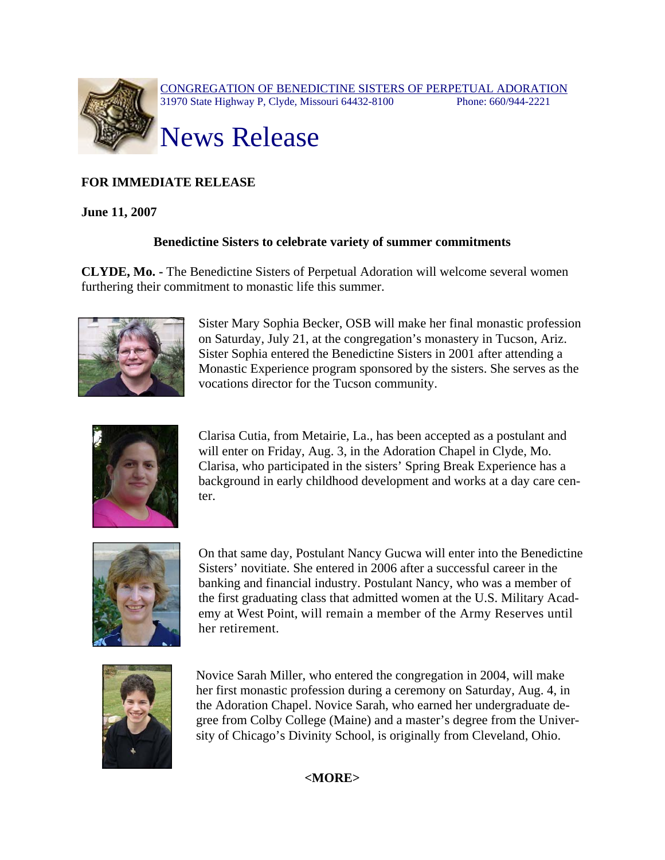

## **FOR IMMEDIATE RELEASE**

## **June 11, 2007**

## **Benedictine Sisters to celebrate variety of summer commitments**

**CLYDE, Mo. -** The Benedictine Sisters of Perpetual Adoration will welcome several women furthering their commitment to monastic life this summer.



Sister Mary Sophia Becker, OSB will make her final monastic profession on Saturday, July 21, at the congregation's monastery in Tucson, Ariz. Sister Sophia entered the Benedictine Sisters in 2001 after attending a Monastic Experience program sponsored by the sisters. She serves as the vocations director for the Tucson community.



Clarisa Cutia, from Metairie, La., has been accepted as a postulant and will enter on Friday, Aug. 3, in the Adoration Chapel in Clyde, Mo. Clarisa, who participated in the sisters' Spring Break Experience has a background in early childhood development and works at a day care center.



On that same day, Postulant Nancy Gucwa will enter into the Benedictine Sisters' novitiate. She entered in 2006 after a successful career in the banking and financial industry. Postulant Nancy, who was a member of the first graduating class that admitted women at the U.S. Military Academy at West Point, will remain a member of the Army Reserves until her retirement.



Novice Sarah Miller, who entered the congregation in 2004, will make her first monastic profession during a ceremony on Saturday, Aug. 4, in the Adoration Chapel. Novice Sarah, who earned her undergraduate degree from Colby College (Maine) and a master's degree from the University of Chicago's Divinity School, is originally from Cleveland, Ohio.

**<MORE>**